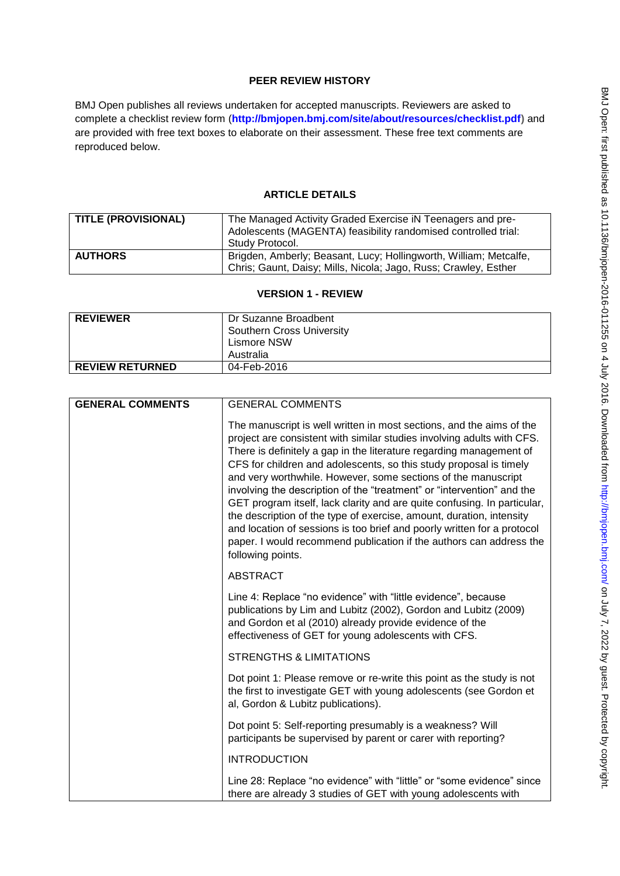## **PEER REVIEW HISTORY**

BMJ Open publishes all reviews undertaken for accepted manuscripts. Reviewers are asked to complete a checklist review form (**[http://bmjopen.bmj.com/site/about/resources/checklist.pdf\)](http://bmjopen.bmj.com/site/about/resources/checklist.pdf)** and are provided with free text boxes to elaborate on their assessment. These free text comments are reproduced below.

## **ARTICLE DETAILS**

| <b>TITLE (PROVISIONAL)</b> | The Managed Activity Graded Exercise iN Teenagers and pre-<br>Adolescents (MAGENTA) feasibility randomised controlled trial:<br>Study Protocol. |
|----------------------------|-------------------------------------------------------------------------------------------------------------------------------------------------|
| <b>AUTHORS</b>             | Brigden, Amberly; Beasant, Lucy; Hollingworth, William; Metcalfe,<br>Chris; Gaunt, Daisy; Mills, Nicola; Jago, Russ; Crawley, Esther            |

### **VERSION 1 - REVIEW**

| <b>REVIEWER</b>        | Dr Suzanne Broadbent<br>Southern Cross University<br>Lismore NSW<br>Australia |
|------------------------|-------------------------------------------------------------------------------|
| <b>REVIEW RETURNED</b> | 04-Feb-2016                                                                   |

| <b>GENERAL COMMENTS</b> | <b>GENERAL COMMENTS</b>                                                                                                                                                                                                                                                                                                                                                                                                                                                                                                                                                                                                                                                                                                                                           |
|-------------------------|-------------------------------------------------------------------------------------------------------------------------------------------------------------------------------------------------------------------------------------------------------------------------------------------------------------------------------------------------------------------------------------------------------------------------------------------------------------------------------------------------------------------------------------------------------------------------------------------------------------------------------------------------------------------------------------------------------------------------------------------------------------------|
|                         | The manuscript is well written in most sections, and the aims of the<br>project are consistent with similar studies involving adults with CFS.<br>There is definitely a gap in the literature regarding management of<br>CFS for children and adolescents, so this study proposal is timely<br>and very worthwhile. However, some sections of the manuscript<br>involving the description of the "treatment" or "intervention" and the<br>GET program itself, lack clarity and are quite confusing. In particular,<br>the description of the type of exercise, amount, duration, intensity<br>and location of sessions is too brief and poorly written for a protocol<br>paper. I would recommend publication if the authors can address the<br>following points. |
|                         | <b>ABSTRACT</b>                                                                                                                                                                                                                                                                                                                                                                                                                                                                                                                                                                                                                                                                                                                                                   |
|                         | Line 4: Replace "no evidence" with "little evidence", because<br>publications by Lim and Lubitz (2002), Gordon and Lubitz (2009)<br>and Gordon et al (2010) already provide evidence of the<br>effectiveness of GET for young adolescents with CFS.                                                                                                                                                                                                                                                                                                                                                                                                                                                                                                               |
|                         | <b>STRENGTHS &amp; LIMITATIONS</b>                                                                                                                                                                                                                                                                                                                                                                                                                                                                                                                                                                                                                                                                                                                                |
|                         | Dot point 1: Please remove or re-write this point as the study is not<br>the first to investigate GET with young adolescents (see Gordon et<br>al, Gordon & Lubitz publications).                                                                                                                                                                                                                                                                                                                                                                                                                                                                                                                                                                                 |
|                         | Dot point 5: Self-reporting presumably is a weakness? Will<br>participants be supervised by parent or carer with reporting?                                                                                                                                                                                                                                                                                                                                                                                                                                                                                                                                                                                                                                       |
|                         | <b>INTRODUCTION</b>                                                                                                                                                                                                                                                                                                                                                                                                                                                                                                                                                                                                                                                                                                                                               |
|                         | Line 28: Replace "no evidence" with "little" or "some evidence" since<br>there are already 3 studies of GET with young adolescents with                                                                                                                                                                                                                                                                                                                                                                                                                                                                                                                                                                                                                           |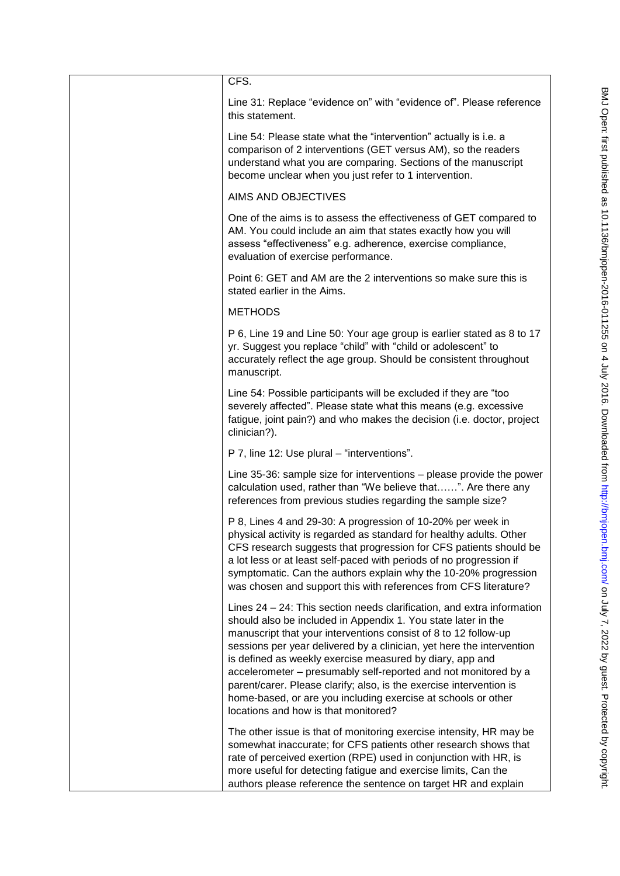| CFS.                                                                                                                                                                                                                                                                                                                                                                                                                                                                                                                                                                                               |
|----------------------------------------------------------------------------------------------------------------------------------------------------------------------------------------------------------------------------------------------------------------------------------------------------------------------------------------------------------------------------------------------------------------------------------------------------------------------------------------------------------------------------------------------------------------------------------------------------|
| Line 31: Replace "evidence on" with "evidence of". Please reference<br>this statement.                                                                                                                                                                                                                                                                                                                                                                                                                                                                                                             |
| Line 54: Please state what the "intervention" actually is i.e. a<br>comparison of 2 interventions (GET versus AM), so the readers<br>understand what you are comparing. Sections of the manuscript<br>become unclear when you just refer to 1 intervention.                                                                                                                                                                                                                                                                                                                                        |
| AIMS AND OBJECTIVES                                                                                                                                                                                                                                                                                                                                                                                                                                                                                                                                                                                |
| One of the aims is to assess the effectiveness of GET compared to<br>AM. You could include an aim that states exactly how you will<br>assess "effectiveness" e.g. adherence, exercise compliance,<br>evaluation of exercise performance.                                                                                                                                                                                                                                                                                                                                                           |
| Point 6: GET and AM are the 2 interventions so make sure this is<br>stated earlier in the Aims.                                                                                                                                                                                                                                                                                                                                                                                                                                                                                                    |
| <b>METHODS</b>                                                                                                                                                                                                                                                                                                                                                                                                                                                                                                                                                                                     |
| P 6, Line 19 and Line 50: Your age group is earlier stated as 8 to 17<br>yr. Suggest you replace "child" with "child or adolescent" to<br>accurately reflect the age group. Should be consistent throughout<br>manuscript.                                                                                                                                                                                                                                                                                                                                                                         |
| Line 54: Possible participants will be excluded if they are "too<br>severely affected". Please state what this means (e.g. excessive<br>fatigue, joint pain?) and who makes the decision (i.e. doctor, project<br>clinician?).                                                                                                                                                                                                                                                                                                                                                                     |
| P 7, line 12: Use plural - "interventions".                                                                                                                                                                                                                                                                                                                                                                                                                                                                                                                                                        |
| Line 35-36: sample size for interventions - please provide the power<br>calculation used, rather than "We believe that". Are there any<br>references from previous studies regarding the sample size?                                                                                                                                                                                                                                                                                                                                                                                              |
| P 8, Lines 4 and 29-30: A progression of 10-20% per week in<br>physical activity is regarded as standard for healthy adults. Other<br>CFS research suggests that progression for CFS patients should be<br>a lot less or at least self-paced with periods of no progression if<br>symptomatic. Can the authors explain why the 10-20% progression<br>was chosen and support this with references from CFS literature?                                                                                                                                                                              |
| Lines 24 – 24: This section needs clarification, and extra information<br>should also be included in Appendix 1. You state later in the<br>manuscript that your interventions consist of 8 to 12 follow-up<br>sessions per year delivered by a clinician, yet here the intervention<br>is defined as weekly exercise measured by diary, app and<br>accelerometer - presumably self-reported and not monitored by a<br>parent/carer. Please clarify; also, is the exercise intervention is<br>home-based, or are you including exercise at schools or other<br>locations and how is that monitored? |
| The other issue is that of monitoring exercise intensity, HR may be<br>somewhat inaccurate; for CFS patients other research shows that<br>rate of perceived exertion (RPE) used in conjunction with HR, is<br>more useful for detecting fatigue and exercise limits, Can the<br>authors please reference the sentence on target HR and explain                                                                                                                                                                                                                                                     |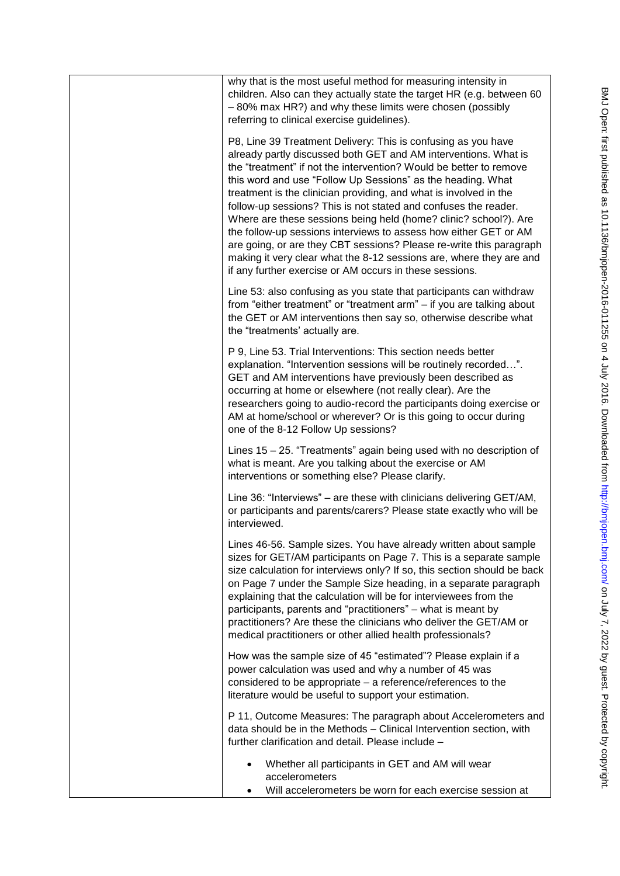| why that is the most useful method for measuring intensity in<br>children. Also can they actually state the target HR (e.g. between 60<br>-80% max HR?) and why these limits were chosen (possibly<br>referring to clinical exercise guidelines).                                                                                                                                                                                                                                                                                                                                                                                                                                                                                                              |
|----------------------------------------------------------------------------------------------------------------------------------------------------------------------------------------------------------------------------------------------------------------------------------------------------------------------------------------------------------------------------------------------------------------------------------------------------------------------------------------------------------------------------------------------------------------------------------------------------------------------------------------------------------------------------------------------------------------------------------------------------------------|
| P8, Line 39 Treatment Delivery: This is confusing as you have<br>already partly discussed both GET and AM interventions. What is<br>the "treatment" if not the intervention? Would be better to remove<br>this word and use "Follow Up Sessions" as the heading. What<br>treatment is the clinician providing, and what is involved in the<br>follow-up sessions? This is not stated and confuses the reader.<br>Where are these sessions being held (home? clinic? school?). Are<br>the follow-up sessions interviews to assess how either GET or AM<br>are going, or are they CBT sessions? Please re-write this paragraph<br>making it very clear what the 8-12 sessions are, where they are and<br>if any further exercise or AM occurs in these sessions. |
| Line 53: also confusing as you state that participants can withdraw<br>from "either treatment" or "treatment arm" - if you are talking about<br>the GET or AM interventions then say so, otherwise describe what<br>the "treatments' actually are.                                                                                                                                                                                                                                                                                                                                                                                                                                                                                                             |
| P 9, Line 53. Trial Interventions: This section needs better<br>explanation. "Intervention sessions will be routinely recorded".<br>GET and AM interventions have previously been described as<br>occurring at home or elsewhere (not really clear). Are the<br>researchers going to audio-record the participants doing exercise or<br>AM at home/school or wherever? Or is this going to occur during<br>one of the 8-12 Follow Up sessions?                                                                                                                                                                                                                                                                                                                 |
| Lines 15 – 25. "Treatments" again being used with no description of<br>what is meant. Are you talking about the exercise or AM<br>interventions or something else? Please clarify.                                                                                                                                                                                                                                                                                                                                                                                                                                                                                                                                                                             |
| Line 36: "Interviews" – are these with clinicians delivering GET/AM,<br>or participants and parents/carers? Please state exactly who will be<br>interviewed.                                                                                                                                                                                                                                                                                                                                                                                                                                                                                                                                                                                                   |
| Lines 46-56. Sample sizes. You have already written about sample<br>sizes for GET/AM participants on Page 7. This is a separate sample<br>size calculation for interviews only? If so, this section should be back<br>on Page 7 under the Sample Size heading, in a separate paragraph<br>explaining that the calculation will be for interviewees from the<br>participants, parents and "practitioners" – what is meant by<br>practitioners? Are these the clinicians who deliver the GET/AM or<br>medical practitioners or other allied health professionals?                                                                                                                                                                                                |
| How was the sample size of 45 "estimated"? Please explain if a<br>power calculation was used and why a number of 45 was<br>considered to be appropriate - a reference/references to the<br>literature would be useful to support your estimation.                                                                                                                                                                                                                                                                                                                                                                                                                                                                                                              |
| P 11, Outcome Measures: The paragraph about Accelerometers and<br>data should be in the Methods - Clinical Intervention section, with<br>further clarification and detail. Please include -                                                                                                                                                                                                                                                                                                                                                                                                                                                                                                                                                                    |
| Whether all participants in GET and AM will wear<br>accelerometers<br>Will accelerometers be worn for each exercise session at                                                                                                                                                                                                                                                                                                                                                                                                                                                                                                                                                                                                                                 |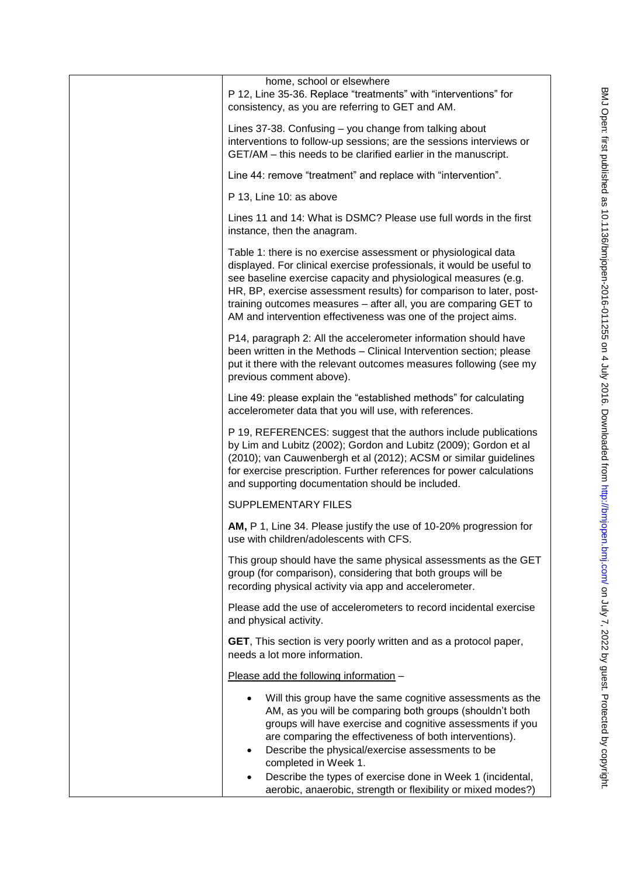| home, school or elsewhere<br>P 12, Line 35-36. Replace "treatments" with "interventions" for<br>consistency, as you are referring to GET and AM.                                                                                                                                                                                                                                                                                                                       |
|------------------------------------------------------------------------------------------------------------------------------------------------------------------------------------------------------------------------------------------------------------------------------------------------------------------------------------------------------------------------------------------------------------------------------------------------------------------------|
| Lines 37-38. Confusing - you change from talking about<br>interventions to follow-up sessions; are the sessions interviews or<br>GET/AM - this needs to be clarified earlier in the manuscript.                                                                                                                                                                                                                                                                        |
| Line 44: remove "treatment" and replace with "intervention".                                                                                                                                                                                                                                                                                                                                                                                                           |
| P 13, Line 10: as above                                                                                                                                                                                                                                                                                                                                                                                                                                                |
| Lines 11 and 14: What is DSMC? Please use full words in the first<br>instance, then the anagram.                                                                                                                                                                                                                                                                                                                                                                       |
| Table 1: there is no exercise assessment or physiological data<br>displayed. For clinical exercise professionals, it would be useful to<br>see baseline exercise capacity and physiological measures (e.g.<br>HR, BP, exercise assessment results) for comparison to later, post-<br>training outcomes measures - after all, you are comparing GET to<br>AM and intervention effectiveness was one of the project aims.                                                |
| P14, paragraph 2: All the accelerometer information should have<br>been written in the Methods - Clinical Intervention section; please<br>put it there with the relevant outcomes measures following (see my<br>previous comment above).                                                                                                                                                                                                                               |
| Line 49: please explain the "established methods" for calculating<br>accelerometer data that you will use, with references.                                                                                                                                                                                                                                                                                                                                            |
| P 19, REFERENCES: suggest that the authors include publications<br>by Lim and Lubitz (2002); Gordon and Lubitz (2009); Gordon et al<br>(2010); van Cauwenbergh et al (2012); ACSM or similar guidelines<br>for exercise prescription. Further references for power calculations<br>and supporting documentation should be included.                                                                                                                                    |
| <b>SUPPLEMENTARY FILES</b>                                                                                                                                                                                                                                                                                                                                                                                                                                             |
| AM, P 1, Line 34. Please justify the use of 10-20% progression for<br>use with children/adolescents with CFS.                                                                                                                                                                                                                                                                                                                                                          |
| This group should have the same physical assessments as the GET<br>group (for comparison), considering that both groups will be<br>recording physical activity via app and accelerometer.                                                                                                                                                                                                                                                                              |
| Please add the use of accelerometers to record incidental exercise<br>and physical activity.                                                                                                                                                                                                                                                                                                                                                                           |
| GET, This section is very poorly written and as a protocol paper,<br>needs a lot more information.                                                                                                                                                                                                                                                                                                                                                                     |
| Please add the following information -                                                                                                                                                                                                                                                                                                                                                                                                                                 |
| Will this group have the same cognitive assessments as the<br>AM, as you will be comparing both groups (shouldn't both<br>groups will have exercise and cognitive assessments if you<br>are comparing the effectiveness of both interventions).<br>Describe the physical/exercise assessments to be<br>$\bullet$<br>completed in Week 1.<br>Describe the types of exercise done in Week 1 (incidental,<br>aerobic, anaerobic, strength or flexibility or mixed modes?) |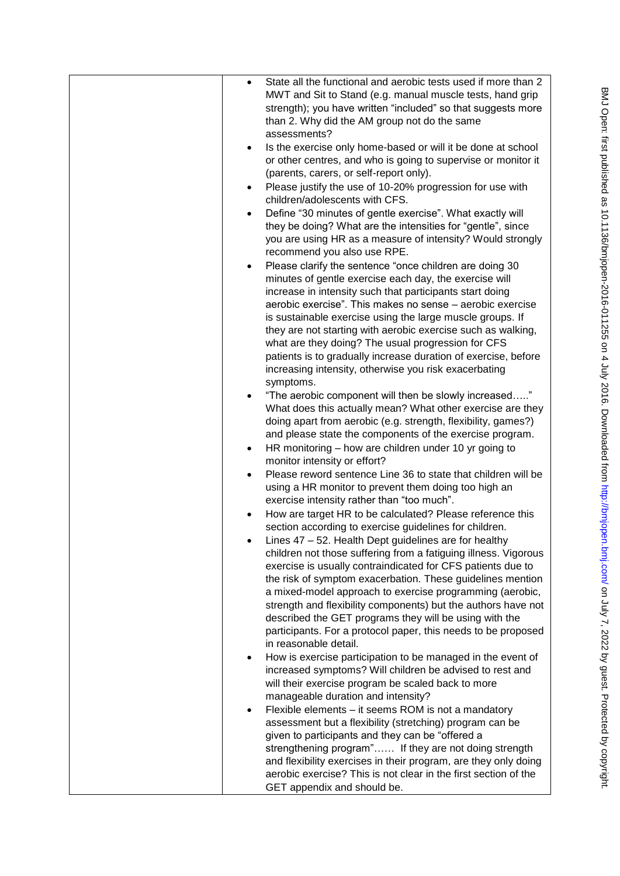|           | State all the functional and aerobic tests used if more than 2<br>MWT and Sit to Stand (e.g. manual muscle tests, hand grip<br>strength); you have written "included" so that suggests more<br>than 2. Why did the AM group not do the same |
|-----------|---------------------------------------------------------------------------------------------------------------------------------------------------------------------------------------------------------------------------------------------|
|           | assessments?                                                                                                                                                                                                                                |
| $\bullet$ | Is the exercise only home-based or will it be done at school                                                                                                                                                                                |
|           | or other centres, and who is going to supervise or monitor it                                                                                                                                                                               |
|           | (parents, carers, or self-report only).                                                                                                                                                                                                     |
|           |                                                                                                                                                                                                                                             |
| $\bullet$ | Please justify the use of 10-20% progression for use with                                                                                                                                                                                   |
|           | children/adolescents with CFS.                                                                                                                                                                                                              |
| $\bullet$ | Define "30 minutes of gentle exercise". What exactly will                                                                                                                                                                                   |
|           | they be doing? What are the intensities for "gentle", since                                                                                                                                                                                 |
|           | you are using HR as a measure of intensity? Would strongly                                                                                                                                                                                  |
|           | recommend you also use RPE.                                                                                                                                                                                                                 |
| $\bullet$ | Please clarify the sentence "once children are doing 30                                                                                                                                                                                     |
|           |                                                                                                                                                                                                                                             |
|           | minutes of gentle exercise each day, the exercise will                                                                                                                                                                                      |
|           | increase in intensity such that participants start doing                                                                                                                                                                                    |
|           | aerobic exercise". This makes no sense – aerobic exercise                                                                                                                                                                                   |
|           | is sustainable exercise using the large muscle groups. If                                                                                                                                                                                   |
|           | they are not starting with aerobic exercise such as walking,                                                                                                                                                                                |
|           | what are they doing? The usual progression for CFS                                                                                                                                                                                          |
|           | patients is to gradually increase duration of exercise, before                                                                                                                                                                              |
|           | increasing intensity, otherwise you risk exacerbating                                                                                                                                                                                       |
|           | symptoms.                                                                                                                                                                                                                                   |
|           | "The aerobic component will then be slowly increased"                                                                                                                                                                                       |
|           |                                                                                                                                                                                                                                             |
|           | What does this actually mean? What other exercise are they                                                                                                                                                                                  |
|           | doing apart from aerobic (e.g. strength, flexibility, games?)                                                                                                                                                                               |
|           | and please state the components of the exercise program.                                                                                                                                                                                    |
| $\bullet$ | HR monitoring – how are children under 10 yr going to                                                                                                                                                                                       |
|           | monitor intensity or effort?                                                                                                                                                                                                                |
| $\bullet$ | Please reword sentence Line 36 to state that children will be                                                                                                                                                                               |
|           | using a HR monitor to prevent them doing too high an                                                                                                                                                                                        |
|           | exercise intensity rather than "too much".                                                                                                                                                                                                  |
|           | How are target HR to be calculated? Please reference this                                                                                                                                                                                   |
|           | section according to exercise guidelines for children.                                                                                                                                                                                      |
|           | Lines 47 - 52. Health Dept guidelines are for healthy                                                                                                                                                                                       |
|           |                                                                                                                                                                                                                                             |
|           | children not those suffering from a fatiguing illness. Vigorous                                                                                                                                                                             |
|           | exercise is usually contraindicated for CFS patients due to                                                                                                                                                                                 |
|           | the risk of symptom exacerbation. These guidelines mention                                                                                                                                                                                  |
|           | a mixed-model approach to exercise programming (aerobic,                                                                                                                                                                                    |
|           | strength and flexibility components) but the authors have not                                                                                                                                                                               |
|           | described the GET programs they will be using with the                                                                                                                                                                                      |
|           | participants. For a protocol paper, this needs to be proposed                                                                                                                                                                               |
|           | in reasonable detail.                                                                                                                                                                                                                       |
| ٠         | How is exercise participation to be managed in the event of                                                                                                                                                                                 |
|           | increased symptoms? Will children be advised to rest and                                                                                                                                                                                    |
|           | will their exercise program be scaled back to more                                                                                                                                                                                          |
|           |                                                                                                                                                                                                                                             |
|           | manageable duration and intensity?                                                                                                                                                                                                          |
| $\bullet$ | Flexible elements – it seems ROM is not a mandatory                                                                                                                                                                                         |
|           | assessment but a flexibility (stretching) program can be                                                                                                                                                                                    |
|           | given to participants and they can be "offered a                                                                                                                                                                                            |
|           | strengthening program" If they are not doing strength                                                                                                                                                                                       |
|           | and flexibility exercises in their program, are they only doing                                                                                                                                                                             |
|           | aerobic exercise? This is not clear in the first section of the                                                                                                                                                                             |
|           | GET appendix and should be.                                                                                                                                                                                                                 |
|           |                                                                                                                                                                                                                                             |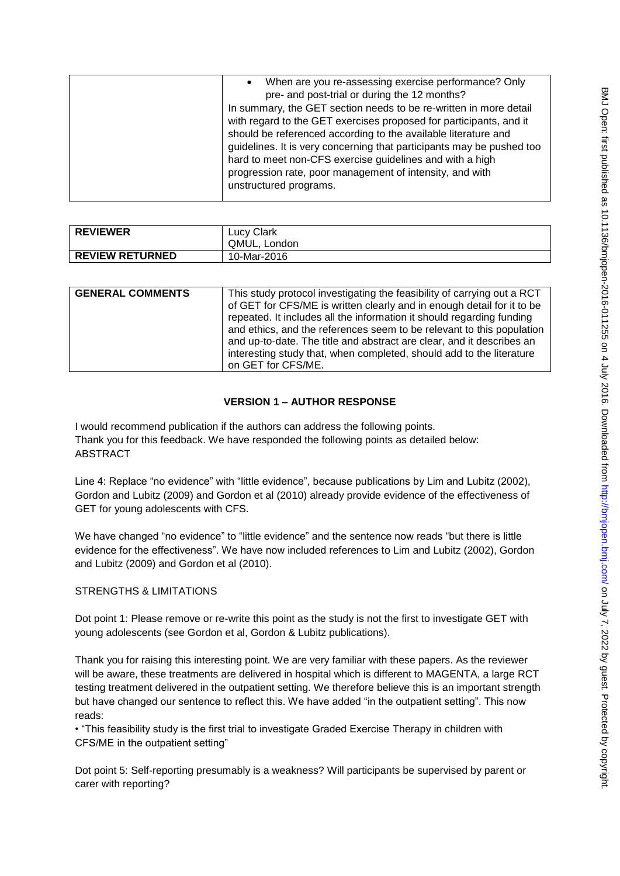| When are you re-assessing exercise performance? Only<br>pre- and post-trial or during the 12 months?<br>In summary, the GET section needs to be re-written in more detail<br>with regard to the GET exercises proposed for participants, and it<br>should be referenced according to the available literature and<br>guidelines. It is very concerning that participants may be pushed too<br>hard to meet non-CFS exercise guidelines and with a high<br>progression rate, poor management of intensity, and with<br>unstructured programs. |
|----------------------------------------------------------------------------------------------------------------------------------------------------------------------------------------------------------------------------------------------------------------------------------------------------------------------------------------------------------------------------------------------------------------------------------------------------------------------------------------------------------------------------------------------|
|                                                                                                                                                                                                                                                                                                                                                                                                                                                                                                                                              |

| <b>REVIEWER</b>        | <b>Lucy Clark</b><br>QMUL. London |
|------------------------|-----------------------------------|
| <b>REVIEW RETURNED</b> | 10-Mar-2016                       |

| <b>GENERAL COMMENTS</b> | This study protocol investigating the feasibility of carrying out a RCT<br>of GET for CFS/ME is written clearly and in enough detail for it to be<br>repeated. It includes all the information it should regarding funding<br>and ethics, and the references seem to be relevant to this population<br>and up-to-date. The title and abstract are clear, and it describes an |
|-------------------------|------------------------------------------------------------------------------------------------------------------------------------------------------------------------------------------------------------------------------------------------------------------------------------------------------------------------------------------------------------------------------|
|                         | interesting study that, when completed, should add to the literature                                                                                                                                                                                                                                                                                                         |
|                         | on GET for CFS/ME.                                                                                                                                                                                                                                                                                                                                                           |

# **VERSION 1 – AUTHOR RESPONSE**

I would recommend publication if the authors can address the following points. Thank you for this feedback. We have responded the following points as detailed below: ABSTRACT

Line 4: Replace "no evidence" with "little evidence", because publications by Lim and Lubitz (2002), Gordon and Lubitz (2009) and Gordon et al (2010) already provide evidence of the effectiveness of GET for young adolescents with CFS.

We have changed "no evidence" to "little evidence" and the sentence now reads "but there is little evidence for the effectiveness". We have now included references to Lim and Lubitz (2002), Gordon and Lubitz (2009) and Gordon et al (2010).

## STRENGTHS & LIMITATIONS

Dot point 1: Please remove or re-write this point as the study is not the first to investigate GET with young adolescents (see Gordon et al, Gordon & Lubitz publications).

Thank you for raising this interesting point. We are very familiar with these papers. As the reviewer will be aware, these treatments are delivered in hospital which is different to MAGENTA, a large RCT testing treatment delivered in the outpatient setting. We therefore believe this is an important strength but have changed our sentence to reflect this. We have added "in the outpatient setting". This now reads:

• "This feasibility study is the first trial to investigate Graded Exercise Therapy in children with CFS/ME in the outpatient setting"

Dot point 5: Self-reporting presumably is a weakness? Will participants be supervised by parent or carer with reporting?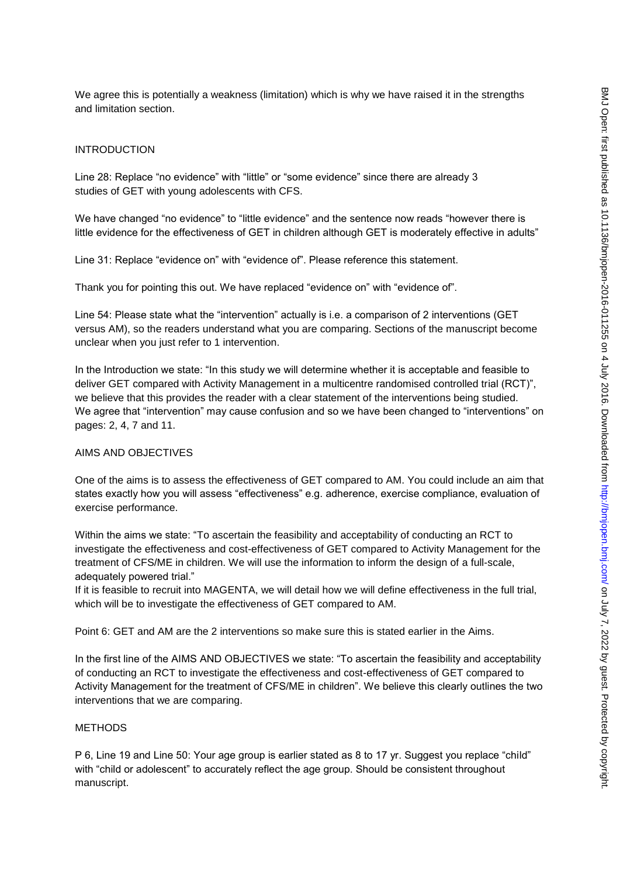We agree this is potentially a weakness (limitation) which is why we have raised it in the strengths and limitation section.

## INTRODUCTION

Line 28: Replace "no evidence" with "little" or "some evidence" since there are already 3 studies of GET with young adolescents with CFS.

We have changed "no evidence" to "little evidence" and the sentence now reads "however there is little evidence for the effectiveness of GET in children although GET is moderately effective in adults"

Line 31: Replace "evidence on" with "evidence of". Please reference this statement.

Thank you for pointing this out. We have replaced "evidence on" with "evidence of".

Line 54: Please state what the "intervention" actually is i.e. a comparison of 2 interventions (GET versus AM), so the readers understand what you are comparing. Sections of the manuscript become unclear when you just refer to 1 intervention.

In the Introduction we state: "In this study we will determine whether it is acceptable and feasible to deliver GET compared with Activity Management in a multicentre randomised controlled trial (RCT)", we believe that this provides the reader with a clear statement of the interventions being studied. We agree that "intervention" may cause confusion and so we have been changed to "interventions" on pages: 2, 4, 7 and 11.

#### AIMS AND OBJECTIVES

One of the aims is to assess the effectiveness of GET compared to AM. You could include an aim that states exactly how you will assess "effectiveness" e.g. adherence, exercise compliance, evaluation of exercise performance.

Within the aims we state: "To ascertain the feasibility and acceptability of conducting an RCT to investigate the effectiveness and cost-effectiveness of GET compared to Activity Management for the treatment of CFS/ME in children. We will use the information to inform the design of a full-scale, adequately powered trial."

If it is feasible to recruit into MAGENTA, we will detail how we will define effectiveness in the full trial, which will be to investigate the effectiveness of GET compared to AM.

Point 6: GET and AM are the 2 interventions so make sure this is stated earlier in the Aims.

In the first line of the AIMS AND OBJECTIVES we state: "To ascertain the feasibility and acceptability of conducting an RCT to investigate the effectiveness and cost-effectiveness of GET compared to Activity Management for the treatment of CFS/ME in children". We believe this clearly outlines the two interventions that we are comparing.

### METHODS

P 6, Line 19 and Line 50: Your age group is earlier stated as 8 to 17 yr. Suggest you replace "child" with "child or adolescent" to accurately reflect the age group. Should be consistent throughout manuscript.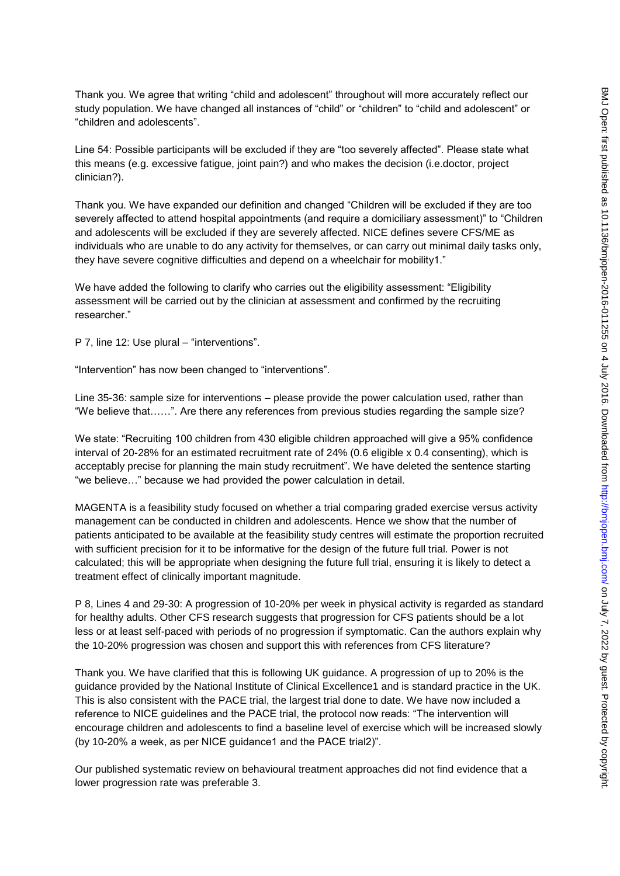Thank you. We agree that writing "child and adolescent" throughout will more accurately reflect our study population. We have changed all instances of "child" or "children" to "child and adolescent" or "children and adolescents".

Line 54: Possible participants will be excluded if they are "too severely affected". Please state what this means (e.g. excessive fatigue, joint pain?) and who makes the decision (i.e.doctor, project clinician?).

Thank you. We have expanded our definition and changed "Children will be excluded if they are too severely affected to attend hospital appointments (and require a domiciliary assessment)" to "Children and adolescents will be excluded if they are severely affected. NICE defines severe CFS/ME as individuals who are unable to do any activity for themselves, or can carry out minimal daily tasks only, they have severe cognitive difficulties and depend on a wheelchair for mobility1."

We have added the following to clarify who carries out the eligibility assessment: "Eligibility assessment will be carried out by the clinician at assessment and confirmed by the recruiting researcher."

P 7, line 12: Use plural – "interventions".

"Intervention" has now been changed to "interventions".

Line 35-36: sample size for interventions – please provide the power calculation used, rather than "We believe that……". Are there any references from previous studies regarding the sample size?

We state: "Recruiting 100 children from 430 eligible children approached will give a 95% confidence interval of 20-28% for an estimated recruitment rate of 24% (0.6 eligible x 0.4 consenting), which is acceptably precise for planning the main study recruitment". We have deleted the sentence starting "we believe…" because we had provided the power calculation in detail.

MAGENTA is a feasibility study focused on whether a trial comparing graded exercise versus activity management can be conducted in children and adolescents. Hence we show that the number of patients anticipated to be available at the feasibility study centres will estimate the proportion recruited with sufficient precision for it to be informative for the design of the future full trial. Power is not calculated; this will be appropriate when designing the future full trial, ensuring it is likely to detect a treatment effect of clinically important magnitude.

P 8, Lines 4 and 29-30: A progression of 10-20% per week in physical activity is regarded as standard for healthy adults. Other CFS research suggests that progression for CFS patients should be a lot less or at least self-paced with periods of no progression if symptomatic. Can the authors explain why the 10-20% progression was chosen and support this with references from CFS literature?

Thank you. We have clarified that this is following UK guidance. A progression of up to 20% is the guidance provided by the National Institute of Clinical Excellence1 and is standard practice in the UK. This is also consistent with the PACE trial, the largest trial done to date. We have now included a reference to NICE guidelines and the PACE trial, the protocol now reads: "The intervention will encourage children and adolescents to find a baseline level of exercise which will be increased slowly (by 10-20% a week, as per NICE guidance1 and the PACE trial2)".

Our published systematic review on behavioural treatment approaches did not find evidence that a lower progression rate was preferable 3.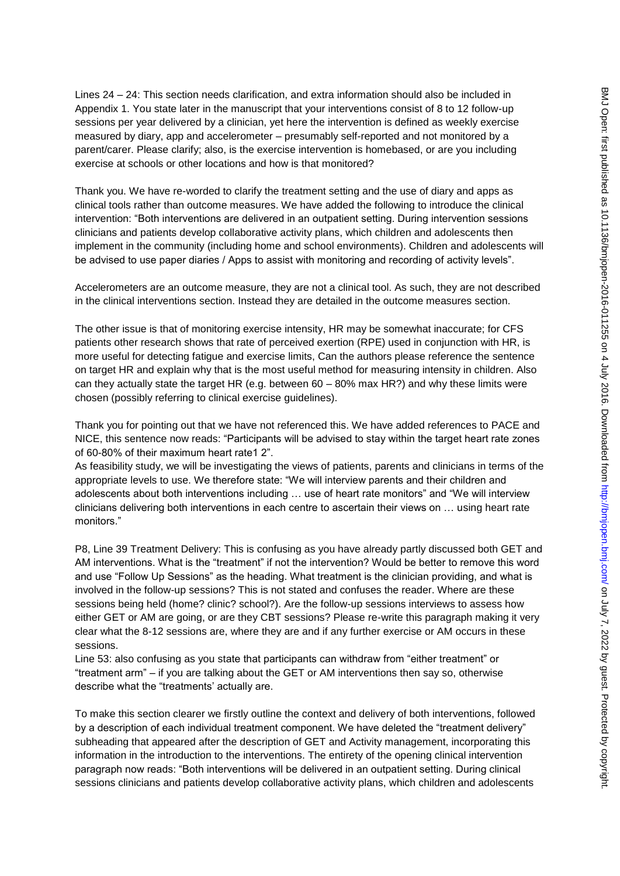Lines 24 – 24: This section needs clarification, and extra information should also be included in Appendix 1. You state later in the manuscript that your interventions consist of 8 to 12 follow-up sessions per year delivered by a clinician, yet here the intervention is defined as weekly exercise measured by diary, app and accelerometer – presumably self-reported and not monitored by a parent/carer. Please clarify; also, is the exercise intervention is homebased, or are you including exercise at schools or other locations and how is that monitored?

Thank you. We have re-worded to clarify the treatment setting and the use of diary and apps as clinical tools rather than outcome measures. We have added the following to introduce the clinical intervention: "Both interventions are delivered in an outpatient setting. During intervention sessions clinicians and patients develop collaborative activity plans, which children and adolescents then implement in the community (including home and school environments). Children and adolescents will be advised to use paper diaries / Apps to assist with monitoring and recording of activity levels".

Accelerometers are an outcome measure, they are not a clinical tool. As such, they are not described in the clinical interventions section. Instead they are detailed in the outcome measures section.

The other issue is that of monitoring exercise intensity, HR may be somewhat inaccurate; for CFS patients other research shows that rate of perceived exertion (RPE) used in conjunction with HR, is more useful for detecting fatigue and exercise limits, Can the authors please reference the sentence on target HR and explain why that is the most useful method for measuring intensity in children. Also can they actually state the target HR (e.g. between  $60 - 80\%$  max HR?) and why these limits were chosen (possibly referring to clinical exercise guidelines).

Thank you for pointing out that we have not referenced this. We have added references to PACE and NICE, this sentence now reads: "Participants will be advised to stay within the target heart rate zones of 60-80% of their maximum heart rate1 2".

As feasibility study, we will be investigating the views of patients, parents and clinicians in terms of the appropriate levels to use. We therefore state: "We will interview parents and their children and adolescents about both interventions including … use of heart rate monitors" and "We will interview clinicians delivering both interventions in each centre to ascertain their views on … using heart rate monitors."

P8, Line 39 Treatment Delivery: This is confusing as you have already partly discussed both GET and AM interventions. What is the "treatment" if not the intervention? Would be better to remove this word and use "Follow Up Sessions" as the heading. What treatment is the clinician providing, and what is involved in the follow-up sessions? This is not stated and confuses the reader. Where are these sessions being held (home? clinic? school?). Are the follow-up sessions interviews to assess how either GET or AM are going, or are they CBT sessions? Please re-write this paragraph making it very clear what the 8-12 sessions are, where they are and if any further exercise or AM occurs in these sessions.

Line 53: also confusing as you state that participants can withdraw from "either treatment" or "treatment arm" – if you are talking about the GET or AM interventions then say so, otherwise describe what the "treatments' actually are.

To make this section clearer we firstly outline the context and delivery of both interventions, followed by a description of each individual treatment component. We have deleted the "treatment delivery" subheading that appeared after the description of GET and Activity management, incorporating this information in the introduction to the interventions. The entirety of the opening clinical intervention paragraph now reads: "Both interventions will be delivered in an outpatient setting. During clinical sessions clinicians and patients develop collaborative activity plans, which children and adolescents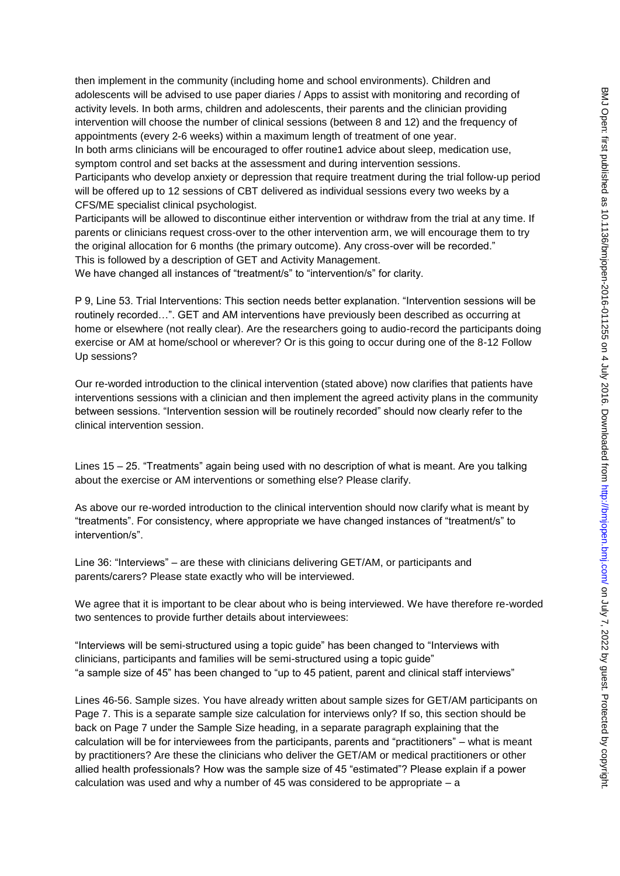then implement in the community (including home and school environments). Children and adolescents will be advised to use paper diaries / Apps to assist with monitoring and recording of activity levels. In both arms, children and adolescents, their parents and the clinician providing intervention will choose the number of clinical sessions (between 8 and 12) and the frequency of appointments (every 2-6 weeks) within a maximum length of treatment of one year. In both arms clinicians will be encouraged to offer routine1 advice about sleep, medication use, symptom control and set backs at the assessment and during intervention sessions. Participants who develop anxiety or depression that require treatment during the trial follow-up period

will be offered up to 12 sessions of CBT delivered as individual sessions every two weeks by a CFS/ME specialist clinical psychologist.

Participants will be allowed to discontinue either intervention or withdraw from the trial at any time. If parents or clinicians request cross-over to the other intervention arm, we will encourage them to try the original allocation for 6 months (the primary outcome). Any cross-over will be recorded." This is followed by a description of GET and Activity Management.

We have changed all instances of "treatment/s" to "intervention/s" for clarity.

P 9, Line 53. Trial Interventions: This section needs better explanation. "Intervention sessions will be routinely recorded…". GET and AM interventions have previously been described as occurring at home or elsewhere (not really clear). Are the researchers going to audio-record the participants doing exercise or AM at home/school or wherever? Or is this going to occur during one of the 8-12 Follow Up sessions?

Our re-worded introduction to the clinical intervention (stated above) now clarifies that patients have interventions sessions with a clinician and then implement the agreed activity plans in the community between sessions. "Intervention session will be routinely recorded" should now clearly refer to the clinical intervention session.

Lines 15 – 25. "Treatments" again being used with no description of what is meant. Are you talking about the exercise or AM interventions or something else? Please clarify.

As above our re-worded introduction to the clinical intervention should now clarify what is meant by "treatments". For consistency, where appropriate we have changed instances of "treatment/s" to intervention/s".

Line 36: "Interviews" – are these with clinicians delivering GET/AM, or participants and parents/carers? Please state exactly who will be interviewed.

We agree that it is important to be clear about who is being interviewed. We have therefore re-worded two sentences to provide further details about interviewees:

"Interviews will be semi-structured using a topic guide" has been changed to "Interviews with clinicians, participants and families will be semi-structured using a topic guide" "a sample size of 45" has been changed to "up to 45 patient, parent and clinical staff interviews"

Lines 46-56. Sample sizes. You have already written about sample sizes for GET/AM participants on Page 7. This is a separate sample size calculation for interviews only? If so, this section should be back on Page 7 under the Sample Size heading, in a separate paragraph explaining that the calculation will be for interviewees from the participants, parents and "practitioners" – what is meant by practitioners? Are these the clinicians who deliver the GET/AM or medical practitioners or other allied health professionals? How was the sample size of 45 "estimated"? Please explain if a power calculation was used and why a number of 45 was considered to be appropriate – a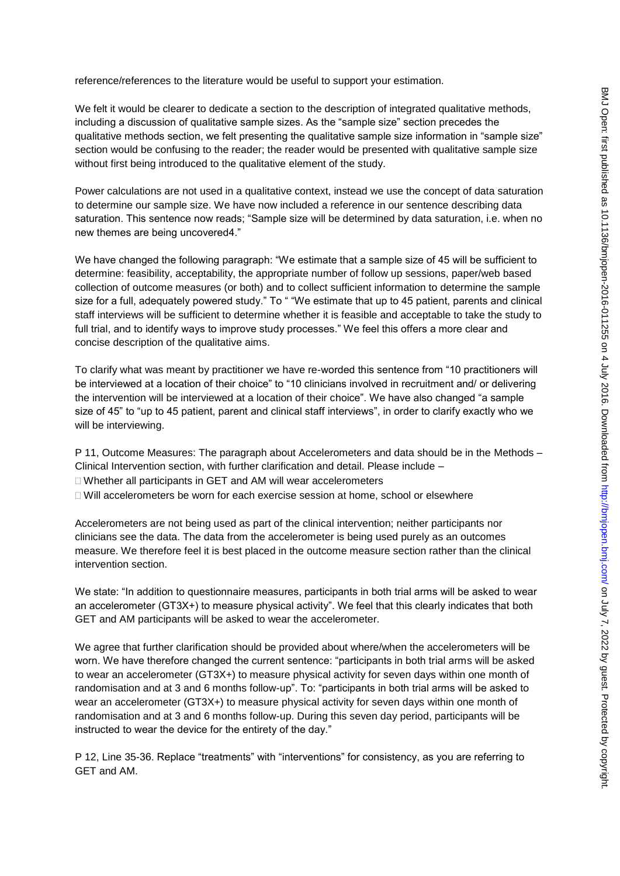reference/references to the literature would be useful to support your estimation.

We felt it would be clearer to dedicate a section to the description of integrated qualitative methods, including a discussion of qualitative sample sizes. As the "sample size" section precedes the qualitative methods section, we felt presenting the qualitative sample size information in "sample size" section would be confusing to the reader; the reader would be presented with qualitative sample size without first being introduced to the qualitative element of the study.

Power calculations are not used in a qualitative context, instead we use the concept of data saturation to determine our sample size. We have now included a reference in our sentence describing data saturation. This sentence now reads; "Sample size will be determined by data saturation, i.e. when no new themes are being uncovered4."

We have changed the following paragraph: "We estimate that a sample size of 45 will be sufficient to determine: feasibility, acceptability, the appropriate number of follow up sessions, paper/web based collection of outcome measures (or both) and to collect sufficient information to determine the sample size for a full, adequately powered study." To " "We estimate that up to 45 patient, parents and clinical staff interviews will be sufficient to determine whether it is feasible and acceptable to take the study to full trial, and to identify ways to improve study processes." We feel this offers a more clear and concise description of the qualitative aims.

To clarify what was meant by practitioner we have re-worded this sentence from "10 practitioners will be interviewed at a location of their choice" to "10 clinicians involved in recruitment and/ or delivering the intervention will be interviewed at a location of their choice". We have also changed "a sample size of 45" to "up to 45 patient, parent and clinical staff interviews", in order to clarify exactly who we will be interviewing.

P 11, Outcome Measures: The paragraph about Accelerometers and data should be in the Methods – Clinical Intervention section, with further clarification and detail. Please include –

□ Whether all participants in GET and AM will wear accelerometers

 $\Box$  Will accelerometers be worn for each exercise session at home, school or elsewhere

Accelerometers are not being used as part of the clinical intervention; neither participants nor clinicians see the data. The data from the accelerometer is being used purely as an outcomes measure. We therefore feel it is best placed in the outcome measure section rather than the clinical intervention section.

We state: "In addition to questionnaire measures, participants in both trial arms will be asked to wear an accelerometer (GT3X+) to measure physical activity". We feel that this clearly indicates that both GET and AM participants will be asked to wear the accelerometer.

We agree that further clarification should be provided about where/when the accelerometers will be worn. We have therefore changed the current sentence: "participants in both trial arms will be asked to wear an accelerometer (GT3X+) to measure physical activity for seven days within one month of randomisation and at 3 and 6 months follow-up". To: "participants in both trial arms will be asked to wear an accelerometer (GT3X+) to measure physical activity for seven days within one month of randomisation and at 3 and 6 months follow-up. During this seven day period, participants will be instructed to wear the device for the entirety of the day."

P 12, Line 35-36. Replace "treatments" with "interventions" for consistency, as you are referring to GET and AM.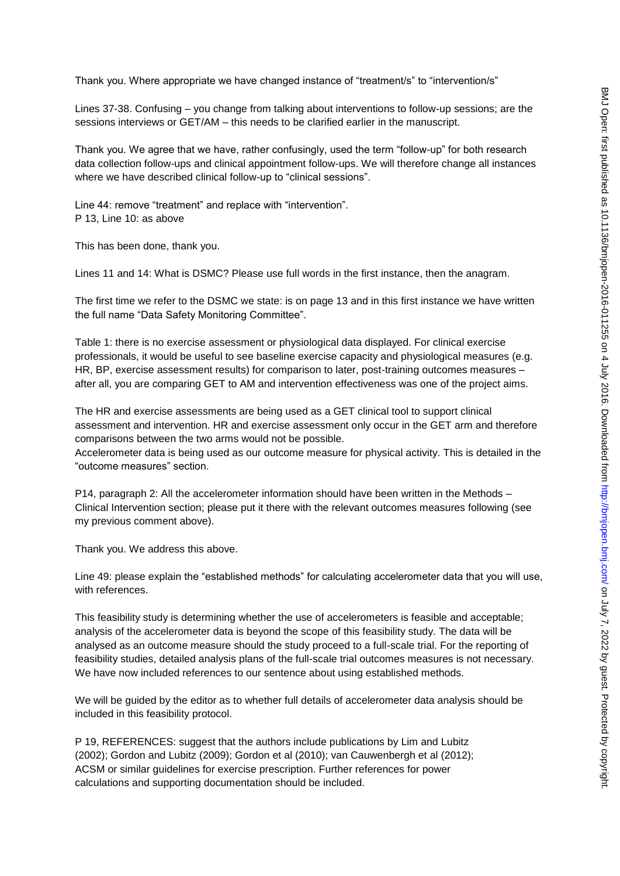Thank you. Where appropriate we have changed instance of "treatment/s" to "intervention/s"

Lines 37-38. Confusing – you change from talking about interventions to follow-up sessions; are the sessions interviews or GET/AM – this needs to be clarified earlier in the manuscript.

Thank you. We agree that we have, rather confusingly, used the term "follow-up" for both research data collection follow-ups and clinical appointment follow-ups. We will therefore change all instances where we have described clinical follow-up to "clinical sessions".

Line 44: remove "treatment" and replace with "intervention". P 13, Line 10: as above

This has been done, thank you.

Lines 11 and 14: What is DSMC? Please use full words in the first instance, then the anagram.

The first time we refer to the DSMC we state: is on page 13 and in this first instance we have written the full name "Data Safety Monitoring Committee".

Table 1: there is no exercise assessment or physiological data displayed. For clinical exercise professionals, it would be useful to see baseline exercise capacity and physiological measures (e.g. HR, BP, exercise assessment results) for comparison to later, post-training outcomes measures – after all, you are comparing GET to AM and intervention effectiveness was one of the project aims.

The HR and exercise assessments are being used as a GET clinical tool to support clinical assessment and intervention. HR and exercise assessment only occur in the GET arm and therefore comparisons between the two arms would not be possible.

Accelerometer data is being used as our outcome measure for physical activity. This is detailed in the "outcome measures" section.

P14, paragraph 2: All the accelerometer information should have been written in the Methods – Clinical Intervention section; please put it there with the relevant outcomes measures following (see my previous comment above).

Thank you. We address this above.

Line 49: please explain the "established methods" for calculating accelerometer data that you will use, with references.

This feasibility study is determining whether the use of accelerometers is feasible and acceptable; analysis of the accelerometer data is beyond the scope of this feasibility study. The data will be analysed as an outcome measure should the study proceed to a full-scale trial. For the reporting of feasibility studies, detailed analysis plans of the full-scale trial outcomes measures is not necessary. We have now included references to our sentence about using established methods.

We will be guided by the editor as to whether full details of accelerometer data analysis should be included in this feasibility protocol.

P 19, REFERENCES: suggest that the authors include publications by Lim and Lubitz (2002); Gordon and Lubitz (2009); Gordon et al (2010); van Cauwenbergh et al (2012); ACSM or similar guidelines for exercise prescription. Further references for power calculations and supporting documentation should be included.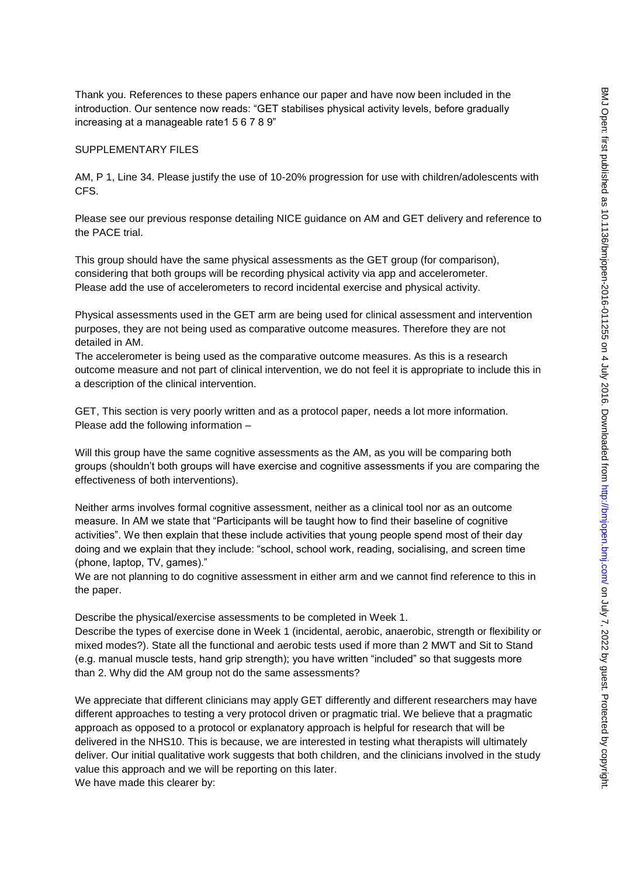Thank you. References to these papers enhance our paper and have now been included in the introduction. Our sentence now reads: "GET stabilises physical activity levels, before gradually increasing at a manageable rate1 5 6 7 8 9"

#### SUPPLEMENTARY FILES

AM, P 1, Line 34. Please justify the use of 10-20% progression for use with children/adolescents with CFS.

Please see our previous response detailing NICE guidance on AM and GET delivery and reference to the PACE trial.

This group should have the same physical assessments as the GET group (for comparison), considering that both groups will be recording physical activity via app and accelerometer. Please add the use of accelerometers to record incidental exercise and physical activity.

Physical assessments used in the GET arm are being used for clinical assessment and intervention purposes, they are not being used as comparative outcome measures. Therefore they are not detailed in AM.

The accelerometer is being used as the comparative outcome measures. As this is a research outcome measure and not part of clinical intervention, we do not feel it is appropriate to include this in a description of the clinical intervention.

GET, This section is very poorly written and as a protocol paper, needs a lot more information. Please add the following information –

Will this group have the same cognitive assessments as the AM, as you will be comparing both groups (shouldn't both groups will have exercise and cognitive assessments if you are comparing the effectiveness of both interventions).

Neither arms involves formal cognitive assessment, neither as a clinical tool nor as an outcome measure. In AM we state that "Participants will be taught how to find their baseline of cognitive activities". We then explain that these include activities that young people spend most of their day doing and we explain that they include: "school, school work, reading, socialising, and screen time (phone, laptop, TV, games)."

We are not planning to do cognitive assessment in either arm and we cannot find reference to this in the paper.

Describe the physical/exercise assessments to be completed in Week 1.

Describe the types of exercise done in Week 1 (incidental, aerobic, anaerobic, strength or flexibility or mixed modes?). State all the functional and aerobic tests used if more than 2 MWT and Sit to Stand (e.g. manual muscle tests, hand grip strength); you have written "included" so that suggests more than 2. Why did the AM group not do the same assessments?

We appreciate that different clinicians may apply GET differently and different researchers may have different approaches to testing a very protocol driven or pragmatic trial. We believe that a pragmatic approach as opposed to a protocol or explanatory approach is helpful for research that will be delivered in the NHS10. This is because, we are interested in testing what therapists will ultimately deliver. Our initial qualitative work suggests that both children, and the clinicians involved in the study value this approach and we will be reporting on this later. We have made this clearer by: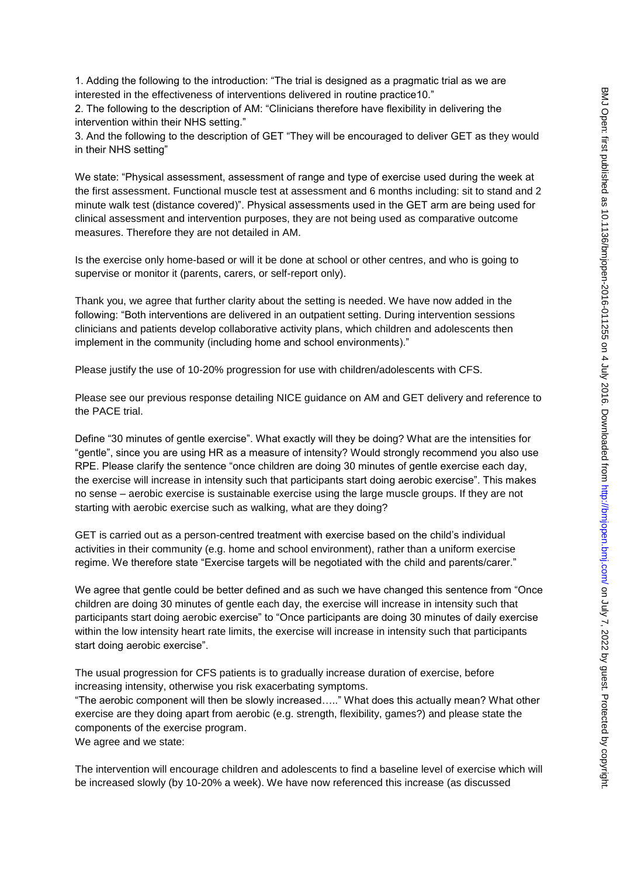1. Adding the following to the introduction: "The trial is designed as a pragmatic trial as we are interested in the effectiveness of interventions delivered in routine practice10."

2. The following to the description of AM: "Clinicians therefore have flexibility in delivering the intervention within their NHS setting."

3. And the following to the description of GET "They will be encouraged to deliver GET as they would in their NHS setting"

We state: "Physical assessment, assessment of range and type of exercise used during the week at the first assessment. Functional muscle test at assessment and 6 months including: sit to stand and 2 minute walk test (distance covered)". Physical assessments used in the GET arm are being used for clinical assessment and intervention purposes, they are not being used as comparative outcome measures. Therefore they are not detailed in AM.

Is the exercise only home-based or will it be done at school or other centres, and who is going to supervise or monitor it (parents, carers, or self-report only).

Thank you, we agree that further clarity about the setting is needed. We have now added in the following: "Both interventions are delivered in an outpatient setting. During intervention sessions clinicians and patients develop collaborative activity plans, which children and adolescents then implement in the community (including home and school environments)."

Please justify the use of 10-20% progression for use with children/adolescents with CFS.

Please see our previous response detailing NICE guidance on AM and GET delivery and reference to the PACE trial.

Define "30 minutes of gentle exercise". What exactly will they be doing? What are the intensities for "gentle", since you are using HR as a measure of intensity? Would strongly recommend you also use RPE. Please clarify the sentence "once children are doing 30 minutes of gentle exercise each day, the exercise will increase in intensity such that participants start doing aerobic exercise". This makes no sense – aerobic exercise is sustainable exercise using the large muscle groups. If they are not starting with aerobic exercise such as walking, what are they doing?

GET is carried out as a person-centred treatment with exercise based on the child's individual activities in their community (e.g. home and school environment), rather than a uniform exercise regime. We therefore state "Exercise targets will be negotiated with the child and parents/carer."

We agree that gentle could be better defined and as such we have changed this sentence from "Once children are doing 30 minutes of gentle each day, the exercise will increase in intensity such that participants start doing aerobic exercise" to "Once participants are doing 30 minutes of daily exercise within the low intensity heart rate limits, the exercise will increase in intensity such that participants start doing aerobic exercise".

The usual progression for CFS patients is to gradually increase duration of exercise, before increasing intensity, otherwise you risk exacerbating symptoms.

"The aerobic component will then be slowly increased….." What does this actually mean? What other exercise are they doing apart from aerobic (e.g. strength, flexibility, games?) and please state the components of the exercise program.

We agree and we state:

The intervention will encourage children and adolescents to find a baseline level of exercise which will be increased slowly (by 10-20% a week). We have now referenced this increase (as discussed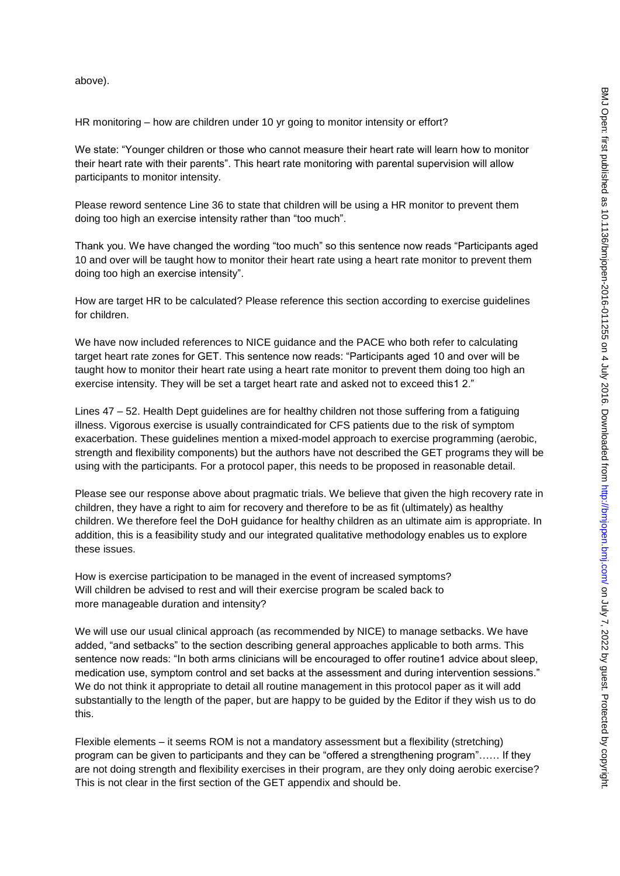above).

HR monitoring – how are children under 10 yr going to monitor intensity or effort?

We state: "Younger children or those who cannot measure their heart rate will learn how to monitor their heart rate with their parents". This heart rate monitoring with parental supervision will allow participants to monitor intensity.

Please reword sentence Line 36 to state that children will be using a HR monitor to prevent them doing too high an exercise intensity rather than "too much".

Thank you. We have changed the wording "too much" so this sentence now reads "Participants aged 10 and over will be taught how to monitor their heart rate using a heart rate monitor to prevent them doing too high an exercise intensity".

How are target HR to be calculated? Please reference this section according to exercise guidelines for children.

We have now included references to NICE guidance and the PACE who both refer to calculating target heart rate zones for GET. This sentence now reads: "Participants aged 10 and over will be taught how to monitor their heart rate using a heart rate monitor to prevent them doing too high an exercise intensity. They will be set a target heart rate and asked not to exceed this1 2."

Lines 47 – 52. Health Dept guidelines are for healthy children not those suffering from a fatiguing illness. Vigorous exercise is usually contraindicated for CFS patients due to the risk of symptom exacerbation. These guidelines mention a mixed-model approach to exercise programming (aerobic, strength and flexibility components) but the authors have not described the GET programs they will be using with the participants. For a protocol paper, this needs to be proposed in reasonable detail.

Please see our response above about pragmatic trials. We believe that given the high recovery rate in children, they have a right to aim for recovery and therefore to be as fit (ultimately) as healthy children. We therefore feel the DoH guidance for healthy children as an ultimate aim is appropriate. In addition, this is a feasibility study and our integrated qualitative methodology enables us to explore these issues.

How is exercise participation to be managed in the event of increased symptoms? Will children be advised to rest and will their exercise program be scaled back to more manageable duration and intensity?

We will use our usual clinical approach (as recommended by NICE) to manage setbacks. We have added, "and setbacks" to the section describing general approaches applicable to both arms. This sentence now reads: "In both arms clinicians will be encouraged to offer routine1 advice about sleep, medication use, symptom control and set backs at the assessment and during intervention sessions." We do not think it appropriate to detail all routine management in this protocol paper as it will add substantially to the length of the paper, but are happy to be guided by the Editor if they wish us to do this.

Flexible elements – it seems ROM is not a mandatory assessment but a flexibility (stretching) program can be given to participants and they can be "offered a strengthening program"…… If they are not doing strength and flexibility exercises in their program, are they only doing aerobic exercise? This is not clear in the first section of the GET appendix and should be.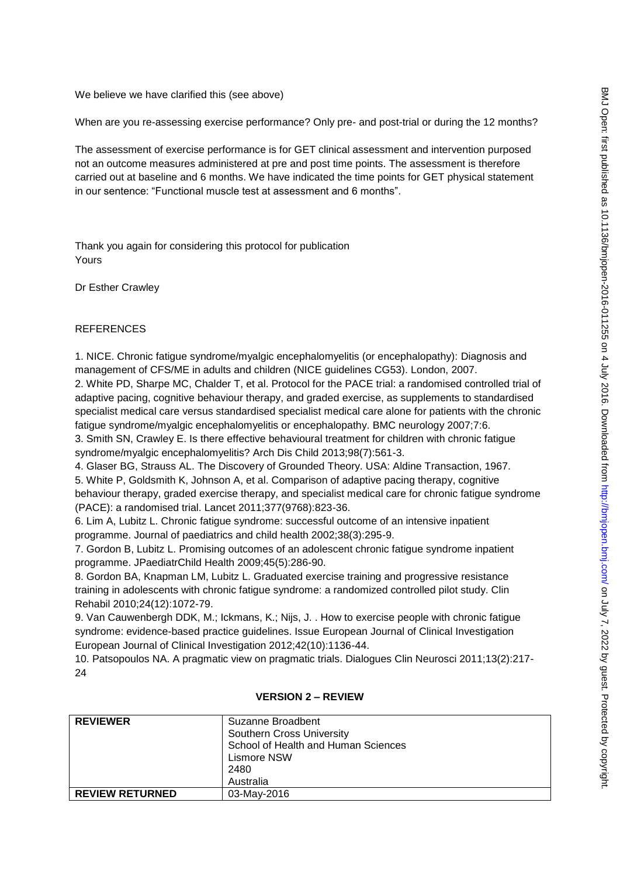We believe we have clarified this (see above)

When are you re-assessing exercise performance? Only pre- and post-trial or during the 12 months?

The assessment of exercise performance is for GET clinical assessment and intervention purposed not an outcome measures administered at pre and post time points. The assessment is therefore carried out at baseline and 6 months. We have indicated the time points for GET physical statement in our sentence: "Functional muscle test at assessment and 6 months".

Thank you again for considering this protocol for publication Yours

Dr Esther Crawley

## **REFERENCES**

1. NICE. Chronic fatigue syndrome/myalgic encephalomyelitis (or encephalopathy): Diagnosis and management of CFS/ME in adults and children (NICE guidelines CG53). London, 2007.

2. White PD, Sharpe MC, Chalder T, et al. Protocol for the PACE trial: a randomised controlled trial of adaptive pacing, cognitive behaviour therapy, and graded exercise, as supplements to standardised specialist medical care versus standardised specialist medical care alone for patients with the chronic fatigue syndrome/myalgic encephalomyelitis or encephalopathy. BMC neurology 2007;7:6.

3. Smith SN, Crawley E. Is there effective behavioural treatment for children with chronic fatigue syndrome/myalgic encephalomyelitis? Arch Dis Child 2013;98(7):561-3.

4. Glaser BG, Strauss AL. The Discovery of Grounded Theory. USA: Aldine Transaction, 1967.

5. White P, Goldsmith K, Johnson A, et al. Comparison of adaptive pacing therapy, cognitive behaviour therapy, graded exercise therapy, and specialist medical care for chronic fatigue syndrome (PACE): a randomised trial. Lancet 2011;377(9768):823-36.

6. Lim A, Lubitz L. Chronic fatigue syndrome: successful outcome of an intensive inpatient programme. Journal of paediatrics and child health 2002;38(3):295-9.

7. Gordon B, Lubitz L. Promising outcomes of an adolescent chronic fatigue syndrome inpatient programme. JPaediatrChild Health 2009;45(5):286-90.

8. Gordon BA, Knapman LM, Lubitz L. Graduated exercise training and progressive resistance training in adolescents with chronic fatigue syndrome: a randomized controlled pilot study. Clin Rehabil 2010;24(12):1072-79.

9. Van Cauwenbergh DDK, M.; Ickmans, K.; Nijs, J. . How to exercise people with chronic fatigue syndrome: evidence-based practice guidelines. Issue European Journal of Clinical Investigation European Journal of Clinical Investigation 2012;42(10):1136-44.

10. Patsopoulos NA. A pragmatic view on pragmatic trials. Dialogues Clin Neurosci 2011;13(2):217- 24

| <b>REVIEWER</b>        | Suzanne Broadbent<br><b>Southern Cross University</b><br>School of Health and Human Sciences<br>Lismore NSW<br>2480<br>Australia |
|------------------------|----------------------------------------------------------------------------------------------------------------------------------|
| <b>REVIEW RETURNED</b> | 03-May-2016                                                                                                                      |

#### **VERSION 2 – REVIEW**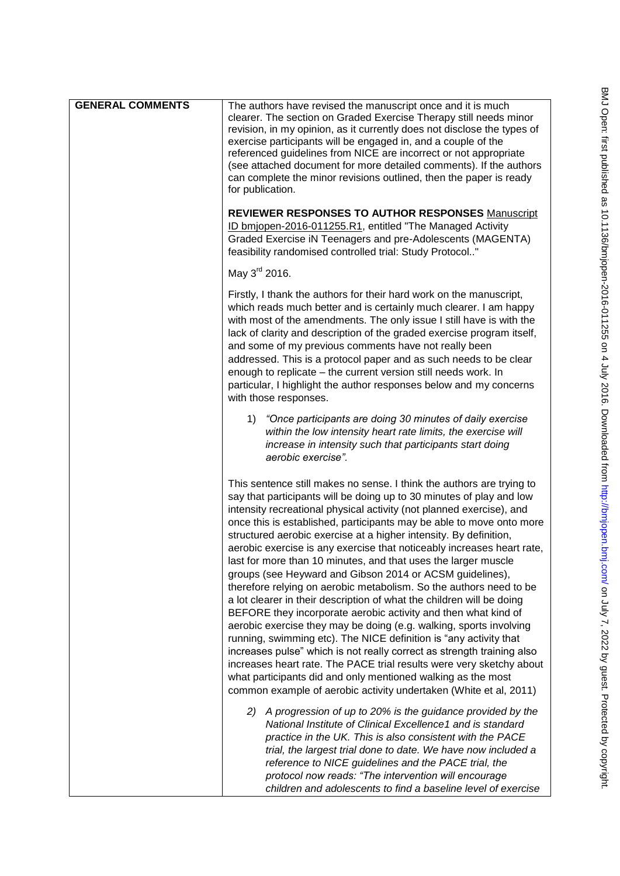| <b>GENERAL COMMENTS</b> | The authors have revised the manuscript once and it is much<br>clearer. The section on Graded Exercise Therapy still needs minor<br>revision, in my opinion, as it currently does not disclose the types of<br>exercise participants will be engaged in, and a couple of the<br>referenced guidelines from NICE are incorrect or not appropriate<br>(see attached document for more detailed comments). If the authors<br>can complete the minor revisions outlined, then the paper is ready<br>for publication.                                                                                                                                                                                                                                                                                                                                                                                                                                                                                                                                                                                                                                                                                                              |
|-------------------------|-------------------------------------------------------------------------------------------------------------------------------------------------------------------------------------------------------------------------------------------------------------------------------------------------------------------------------------------------------------------------------------------------------------------------------------------------------------------------------------------------------------------------------------------------------------------------------------------------------------------------------------------------------------------------------------------------------------------------------------------------------------------------------------------------------------------------------------------------------------------------------------------------------------------------------------------------------------------------------------------------------------------------------------------------------------------------------------------------------------------------------------------------------------------------------------------------------------------------------|
|                         | <b>REVIEWER RESPONSES TO AUTHOR RESPONSES Manuscript</b><br>ID bmjopen-2016-011255.R1, entitled "The Managed Activity<br>Graded Exercise iN Teenagers and pre-Adolescents (MAGENTA)<br>feasibility randomised controlled trial: Study Protocol"                                                                                                                                                                                                                                                                                                                                                                                                                                                                                                                                                                                                                                                                                                                                                                                                                                                                                                                                                                               |
|                         | May 3 <sup>rd</sup> 2016.                                                                                                                                                                                                                                                                                                                                                                                                                                                                                                                                                                                                                                                                                                                                                                                                                                                                                                                                                                                                                                                                                                                                                                                                     |
|                         | Firstly, I thank the authors for their hard work on the manuscript,<br>which reads much better and is certainly much clearer. I am happy<br>with most of the amendments. The only issue I still have is with the<br>lack of clarity and description of the graded exercise program itself,<br>and some of my previous comments have not really been<br>addressed. This is a protocol paper and as such needs to be clear<br>enough to replicate - the current version still needs work. In<br>particular, I highlight the author responses below and my concerns<br>with those responses.                                                                                                                                                                                                                                                                                                                                                                                                                                                                                                                                                                                                                                     |
|                         | 1) "Once participants are doing 30 minutes of daily exercise<br>within the low intensity heart rate limits, the exercise will<br>increase in intensity such that participants start doing<br>aerobic exercise".                                                                                                                                                                                                                                                                                                                                                                                                                                                                                                                                                                                                                                                                                                                                                                                                                                                                                                                                                                                                               |
|                         | This sentence still makes no sense. I think the authors are trying to<br>say that participants will be doing up to 30 minutes of play and low<br>intensity recreational physical activity (not planned exercise), and<br>once this is established, participants may be able to move onto more<br>structured aerobic exercise at a higher intensity. By definition,<br>aerobic exercise is any exercise that noticeably increases heart rate,<br>last for more than 10 minutes, and that uses the larger muscle<br>groups (see Heyward and Gibson 2014 or ACSM guidelines),<br>therefore relying on aerobic metabolism. So the authors need to be<br>a lot clearer in their description of what the children will be doing<br>BEFORE they incorporate aerobic activity and then what kind of<br>aerobic exercise they may be doing (e.g. walking, sports involving<br>running, swimming etc). The NICE definition is "any activity that<br>increases pulse" which is not really correct as strength training also<br>increases heart rate. The PACE trial results were very sketchy about<br>what participants did and only mentioned walking as the most<br>common example of aerobic activity undertaken (White et al, 2011) |
|                         | 2) A progression of up to 20% is the guidance provided by the<br>National Institute of Clinical Excellence1 and is standard<br>practice in the UK. This is also consistent with the PACE<br>trial, the largest trial done to date. We have now included a<br>reference to NICE guidelines and the PACE trial, the<br>protocol now reads: "The intervention will encourage<br>children and adolescents to find a baseline level of exercise                                                                                                                                                                                                                                                                                                                                                                                                                                                                                                                                                                                                                                                                                                                                                                                    |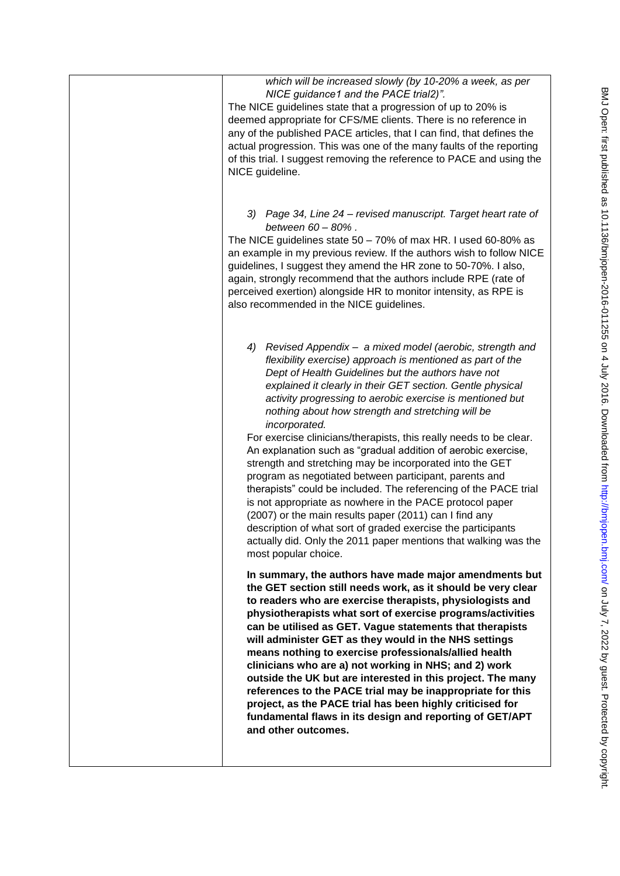| which will be increased slowly (by 10-20% a week, as per<br>NICE guidance1 and the PACE trial2)".<br>The NICE guidelines state that a progression of up to 20% is<br>deemed appropriate for CFS/ME clients. There is no reference in<br>any of the published PACE articles, that I can find, that defines the<br>actual progression. This was one of the many faults of the reporting<br>of this trial. I suggest removing the reference to PACE and using the<br>NICE guideline.                                                                                                                                                                                                                                                                                                                                                                                                                                                                                                                    |
|------------------------------------------------------------------------------------------------------------------------------------------------------------------------------------------------------------------------------------------------------------------------------------------------------------------------------------------------------------------------------------------------------------------------------------------------------------------------------------------------------------------------------------------------------------------------------------------------------------------------------------------------------------------------------------------------------------------------------------------------------------------------------------------------------------------------------------------------------------------------------------------------------------------------------------------------------------------------------------------------------|
| 3) Page 34, Line 24 – revised manuscript. Target heart rate of<br>between 60 - 80%.<br>The NICE guidelines state 50 - 70% of max HR. I used 60-80% as<br>an example in my previous review. If the authors wish to follow NICE<br>guidelines, I suggest they amend the HR zone to 50-70%. I also,<br>again, strongly recommend that the authors include RPE (rate of<br>perceived exertion) alongside HR to monitor intensity, as RPE is<br>also recommended in the NICE guidelines.                                                                                                                                                                                                                                                                                                                                                                                                                                                                                                                  |
| Revised Appendix - a mixed model (aerobic, strength and<br>4)<br>flexibility exercise) approach is mentioned as part of the<br>Dept of Health Guidelines but the authors have not<br>explained it clearly in their GET section. Gentle physical<br>activity progressing to aerobic exercise is mentioned but<br>nothing about how strength and stretching will be<br>incorporated.<br>For exercise clinicians/therapists, this really needs to be clear.<br>An explanation such as "gradual addition of aerobic exercise,<br>strength and stretching may be incorporated into the GET<br>program as negotiated between participant, parents and<br>therapists" could be included. The referencing of the PACE trial<br>is not appropriate as nowhere in the PACE protocol paper<br>(2007) or the main results paper (2011) can I find any<br>description of what sort of graded exercise the participants<br>actually did. Only the 2011 paper mentions that walking was the<br>most popular choice. |
| In summary, the authors have made major amendments but<br>the GET section still needs work, as it should be very clear<br>to readers who are exercise therapists, physiologists and<br>physiotherapists what sort of exercise programs/activities<br>can be utilised as GET. Vague statements that therapists<br>will administer GET as they would in the NHS settings<br>means nothing to exercise professionals/allied health<br>clinicians who are a) not working in NHS; and 2) work<br>outside the UK but are interested in this project. The many<br>references to the PACE trial may be inappropriate for this<br>project, as the PACE trial has been highly criticised for<br>fundamental flaws in its design and reporting of GET/APT<br>and other outcomes.                                                                                                                                                                                                                                |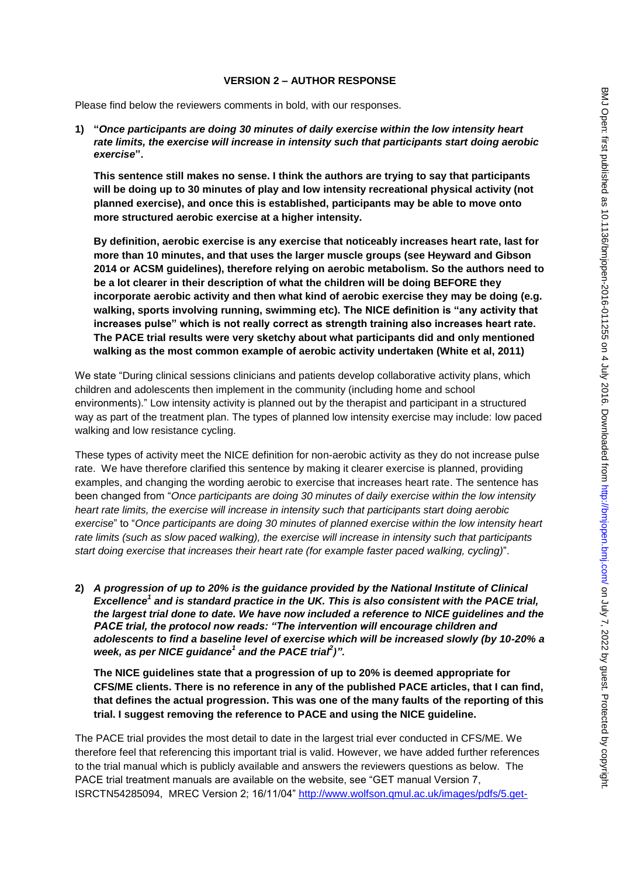## **VERSION 2 – AUTHOR RESPONSE**

Please find below the reviewers comments in bold, with our responses.

**1) "***Once participants are doing 30 minutes of daily exercise within the low intensity heart rate limits, the exercise will increase in intensity such that participants start doing aerobic exercise***".** 

**This sentence still makes no sense. I think the authors are trying to say that participants will be doing up to 30 minutes of play and low intensity recreational physical activity (not planned exercise), and once this is established, participants may be able to move onto more structured aerobic exercise at a higher intensity.** 

**By definition, aerobic exercise is any exercise that noticeably increases heart rate, last for more than 10 minutes, and that uses the larger muscle groups (see Heyward and Gibson 2014 or ACSM guidelines), therefore relying on aerobic metabolism. So the authors need to be a lot clearer in their description of what the children will be doing BEFORE they incorporate aerobic activity and then what kind of aerobic exercise they may be doing (e.g. walking, sports involving running, swimming etc). The NICE definition is "any activity that increases pulse" which is not really correct as strength training also increases heart rate. The PACE trial results were very sketchy about what participants did and only mentioned walking as the most common example of aerobic activity undertaken (White et al, 2011)** 

We state "During clinical sessions clinicians and patients develop collaborative activity plans, which children and adolescents then implement in the community (including home and school environments)." Low intensity activity is planned out by the therapist and participant in a structured way as part of the treatment plan. The types of planned low intensity exercise may include: low paced walking and low resistance cycling.

These types of activity meet the NICE definition for non-aerobic activity as they do not increase pulse rate. We have therefore clarified this sentence by making it clearer exercise is planned, providing examples, and changing the wording aerobic to exercise that increases heart rate. The sentence has been changed from "*Once participants are doing 30 minutes of daily exercise within the low intensity heart rate limits, the exercise will increase in intensity such that participants start doing aerobic exercise*" to "*Once participants are doing 30 minutes of planned exercise within the low intensity heart rate limits (such as slow paced walking), the exercise will increase in intensity such that participants start doing exercise that increases their heart rate (for example faster paced walking, cycling)*".

**2)** *A progression of up to 20% is the guidance provided by the National Institute of Clinical Excellence<sup>1</sup> and is standard practice in the UK. This is also consistent with the PACE trial, the largest trial done to date. We have now included a reference to NICE guidelines and the PACE trial, the protocol now reads: "The intervention will encourage children and adolescents to find a baseline level of exercise which will be increased slowly (by 10-20% a week, as per NICE guidance<sup>1</sup> and the PACE trial<sup>2</sup>)".* 

**The NICE guidelines state that a progression of up to 20% is deemed appropriate for CFS/ME clients. There is no reference in any of the published PACE articles, that I can find, that defines the actual progression. This was one of the many faults of the reporting of this trial. I suggest removing the reference to PACE and using the NICE guideline.** 

The PACE trial provides the most detail to date in the largest trial ever conducted in CFS/ME. We therefore feel that referencing this important trial is valid. However, we have added further references to the trial manual which is publicly available and answers the reviewers questions as below. The PACE trial treatment manuals are available on the website, see "GET manual Version 7, ISRCTN54285094, MREC Version 2; 16/11/04" [http://www.wolfson.qmul.ac.uk/images/pdfs/5.get-](http://www.wolfson.qmul.ac.uk/images/pdfs/5.get-therapist-manual.pdf)